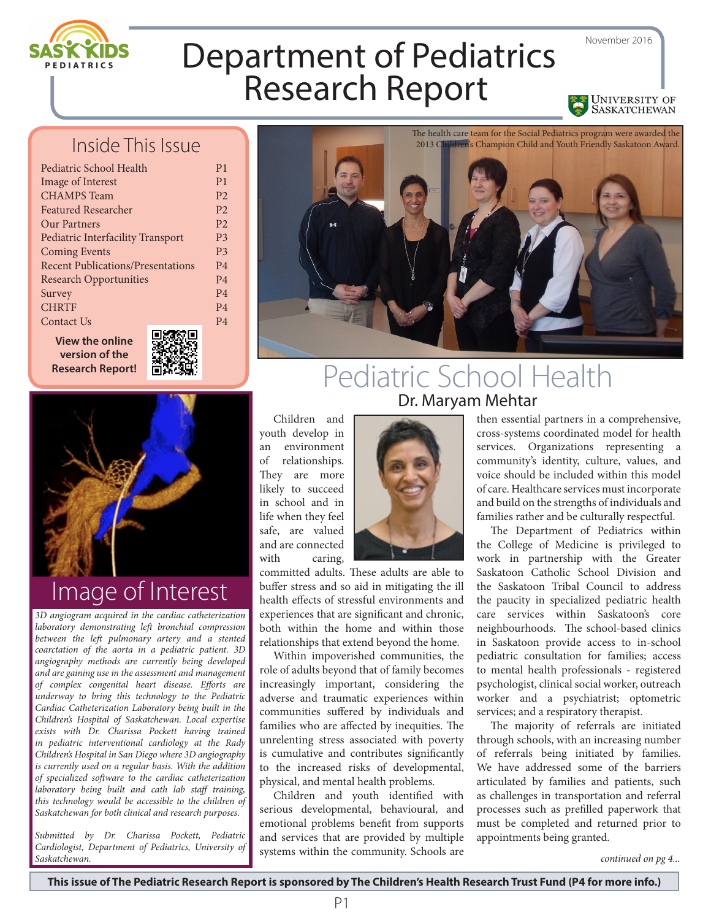

UNIVERSITY OF

# Department of Pediatrics Research Report

#### Inside This Issue

| Pediatric School Health                              |
|------------------------------------------------------|
| <b>Image of Interest</b>                             |
| <b>CHAMPS</b> Team                                   |
| <b>Featured Researcher</b>                           |
| Our Partners                                         |
| <b>Pediatric Interfacility Transport</b>             |
| <b>Coming Events</b>                                 |
| <b>Recent Publications/Presentations</b>             |
| <b>Research Opportunities</b>                        |
| Survey                                               |
| <b>CHRTF</b>                                         |
| Contact Us                                           |
| . TA L<br><b>Contract Contract Contract Contract</b> |

**View the online version of the Research Report!**



P1 P1  $P<sub>2</sub>$  $P<sub>2</sub>$ P2 P3 P3 P4 P4 P4 P4 P4



## Image of Interest

*3D angiogram acquired in the cardiac catheterization laboratory demonstrating left bronchial compression between the left pulmonary artery and a stented coarctation of the aorta in a pediatric patient. 3D angiography methods are currently being developed and are gaining use in the assessment and management of complex congenital heart disease. Efforts are underway to bring this technology to the Pediatric Cardiac Catheterization Laboratory being built in the Children's Hospital of Saskatchewan. Local expertise exists with Dr. Charissa Pockett having trained in pediatric interventional cardiology at the Rady Children's Hospital in San Diego where 3D angiography is currently used on a regular basis. With the addition of specialized software to the cardiac catheterization laboratory being built and cath lab staff training, this technology would be accessible to the children of Saskatchewan for both clinical and research purposes.*

*Submitted by Dr. Charissa Pockett, Pediatric Cardiologist, Department of Pediatrics, University of Saskatchewan. continued on pg 4...*



#### Pediatric School Health Dr. Maryam Mehtar

Children and youth develop in an environment of relationships. They are more likely to succeed in school and in life when they feel safe, are valued and are connected with caring,



committed adults. These adults are able to buffer stress and so aid in mitigating the ill health effects of stressful environments and experiences that are significant and chronic, both within the home and within those relationships that extend beyond the home.

Within impoverished communities, the role of adults beyond that of family becomes increasingly important, considering the adverse and traumatic experiences within communities suffered by individuals and families who are affected by inequities. The unrelenting stress associated with poverty is cumulative and contributes significantly to the increased risks of developmental, physical, and mental health problems.

Children and youth identified with serious developmental, behavioural, and emotional problems benefit from supports and services that are provided by multiple systems within the community. Schools are

then essential partners in a comprehensive, cross-systems coordinated model for health services. Organizations representing a community's identity, culture, values, and voice should be included within this model of care. Healthcare services must incorporate and build on the strengths of individuals and families rather and be culturally respectful.

The Department of Pediatrics within the College of Medicine is privileged to work in partnership with the Greater Saskatoon Catholic School Division and the Saskatoon Tribal Council to address the paucity in specialized pediatric health care services within Saskatoon's core neighbourhoods. The school-based clinics in Saskatoon provide access to in-school pediatric consultation for families; access to mental health professionals - registered psychologist, clinical social worker, outreach worker and a psychiatrist; optometric services; and a respiratory therapist.

The majority of referrals are initiated through schools, with an increasing number of referrals being initiated by families. We have addressed some of the barriers articulated by families and patients, such as challenges in transportation and referral processes such as prefilled paperwork that must be completed and returned prior to appointments being granted.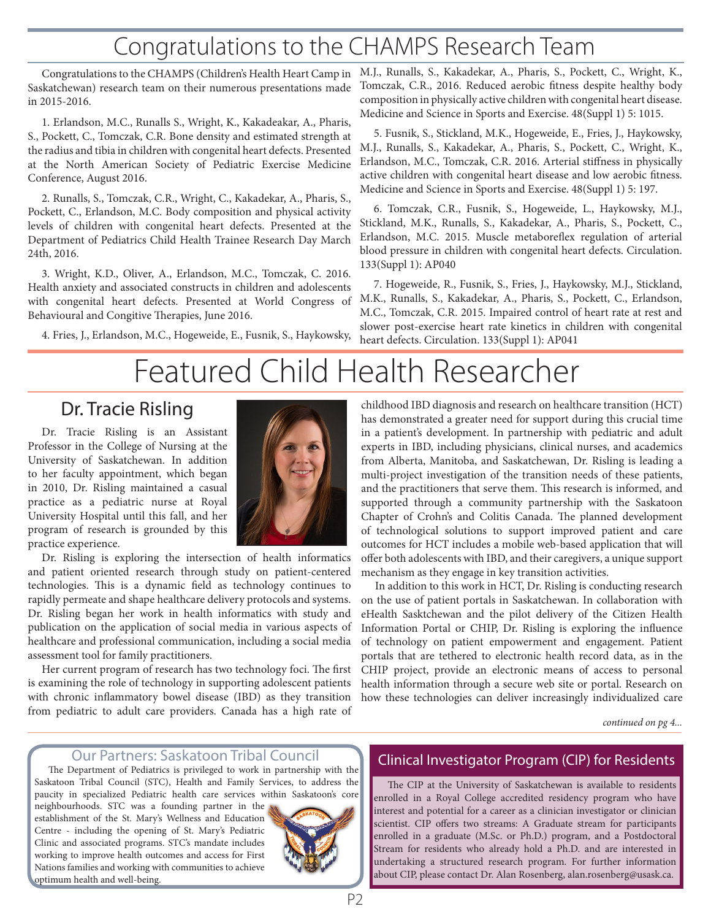## Congratulations to the CHAMPS Research Team

Saskatchewan) research team on their numerous presentations made in 2015-2016.

1. Erlandson, M.C., Runalls S., Wright, K., Kakadeakar, A., Pharis, S., Pockett, C., Tomczak, C.R. Bone density and estimated strength at the radius and tibia in children with congenital heart defects. Presented at the North American Society of Pediatric Exercise Medicine Conference, August 2016.

2. Runalls, S., Tomczak, C.R., Wright, C., Kakadekar, A., Pharis, S., Pockett, C., Erlandson, M.C. Body composition and physical activity levels of children with congenital heart defects. Presented at the Department of Pediatrics Child Health Trainee Research Day March 24th, 2016.

3. Wright, K.D., Oliver, A., Erlandson, M.C., Tomczak, C. 2016. Health anxiety and associated constructs in children and adolescents with congenital heart defects. Presented at World Congress of Behavioural and Congitive Therapies, June 2016.

4. Fries, J., Erlandson, M.C., Hogeweide, E., Fusnik, S., Haykowsky,

Congratulations to the CHAMPS (Children's Health Heart Camp in M.J., Runalls, S., Kakadekar, A., Pharis, S., Pockett, C., Wright, K., Tomczak, C.R., 2016. Reduced aerobic fitness despite healthy body composition in physically active children with congenital heart disease. Medicine and Science in Sports and Exercise. 48(Suppl 1) 5: 1015.

> 5. Fusnik, S., Stickland, M.K., Hogeweide, E., Fries, J., Haykowsky, M.J., Runalls, S., Kakadekar, A., Pharis, S., Pockett, C., Wright, K., Erlandson, M.C., Tomczak, C.R. 2016. Arterial stiffness in physically active children with congenital heart disease and low aerobic fitness. Medicine and Science in Sports and Exercise. 48(Suppl 1) 5: 197.

> 6. Tomczak, C.R., Fusnik, S., Hogeweide, L., Haykowsky, M.J., Stickland, M.K., Runalls, S., Kakadekar, A., Pharis, S., Pockett, C., Erlandson, M.C. 2015. Muscle metaboreflex regulation of arterial blood pressure in children with congenital heart defects. Circulation. 133(Suppl 1): AP040

> 7. Hogeweide, R., Fusnik, S., Fries, J., Haykowsky, M.J., Stickland, M.K., Runalls, S., Kakadekar, A., Pharis, S., Pockett, C., Erlandson, M.C., Tomczak, C.R. 2015. Impaired control of heart rate at rest and slower post-exercise heart rate kinetics in children with congenital heart defects. Circulation. 133(Suppl 1): AP041

## Featured Child Health Researcher

#### Dr. Tracie Risling

Dr. Tracie Risling is an Assistant Professor in the College of Nursing at the University of Saskatchewan. In addition to her faculty appointment, which began in 2010, Dr. Risling maintained a casual practice as a pediatric nurse at Royal University Hospital until this fall, and her program of research is grounded by this practice experience.



Dr. Risling is exploring the intersection of health informatics and patient oriented research through study on patient-centered technologies. This is a dynamic field as technology continues to rapidly permeate and shape healthcare delivery protocols and systems. Dr. Risling began her work in health informatics with study and publication on the application of social media in various aspects of healthcare and professional communication, including a social media assessment tool for family practitioners.

Her current program of research has two technology foci. The first is examining the role of technology in supporting adolescent patients with chronic inflammatory bowel disease (IBD) as they transition from pediatric to adult care providers. Canada has a high rate of

childhood IBD diagnosis and research on healthcare transition (HCT) has demonstrated a greater need for support during this crucial time in a patient's development. In partnership with pediatric and adult experts in IBD, including physicians, clinical nurses, and academics from Alberta, Manitoba, and Saskatchewan, Dr. Risling is leading a multi-project investigation of the transition needs of these patients, and the practitioners that serve them. This research is informed, and supported through a community partnership with the Saskatoon Chapter of Crohn's and Colitis Canada. The planned development of technological solutions to support improved patient and care outcomes for HCT includes a mobile web-based application that will offer both adolescents with IBD, and their caregivers, a unique support mechanism as they engage in key transition activities.

In addition to this work in HCT, Dr. Risling is conducting research on the use of patient portals in Saskatchewan. In collaboration with eHealth Sasktchewan and the pilot delivery of the Citizen Health Information Portal or CHIP, Dr. Risling is exploring the influence of technology on patient empowerment and engagement. Patient portals that are tethered to electronic health record data, as in the CHIP project, provide an electronic means of access to personal health information through a secure web site or portal. Research on how these technologies can deliver increasingly individualized care

*continued on pg 4...*

#### Our Partners: Saskatoon Tribal Council

The Department of Pediatrics is privileged to work in partnership with the Saskatoon Tribal Council (STC), Health and Family Services, to address the paucity in specialized Pediatric health care services within Saskatoon's core

neighbourhoods. STC was a founding partner in the establishment of the St. Mary's Wellness and Education Centre - including the opening of St. Mary's Pediatric Clinic and associated programs. STC's mandate includes working to improve health outcomes and access for First Nations families and working with communities to achieve optimum health and well-being.



#### Clinical Investigator Program (CIP) for Residents

The CIP at the University of Saskatchewan is available to residents enrolled in a Royal College accredited residency program who have interest and potential for a career as a clinician investigator or clinician scientist. CIP offers two streams: A Graduate stream for participants enrolled in a graduate (M.Sc. or Ph.D.) program, and a Postdoctoral Stream for residents who already hold a Ph.D. and are interested in undertaking a structured research program. For further information about CIP, please contact Dr. Alan Rosenberg, alan.rosenberg@usask.ca.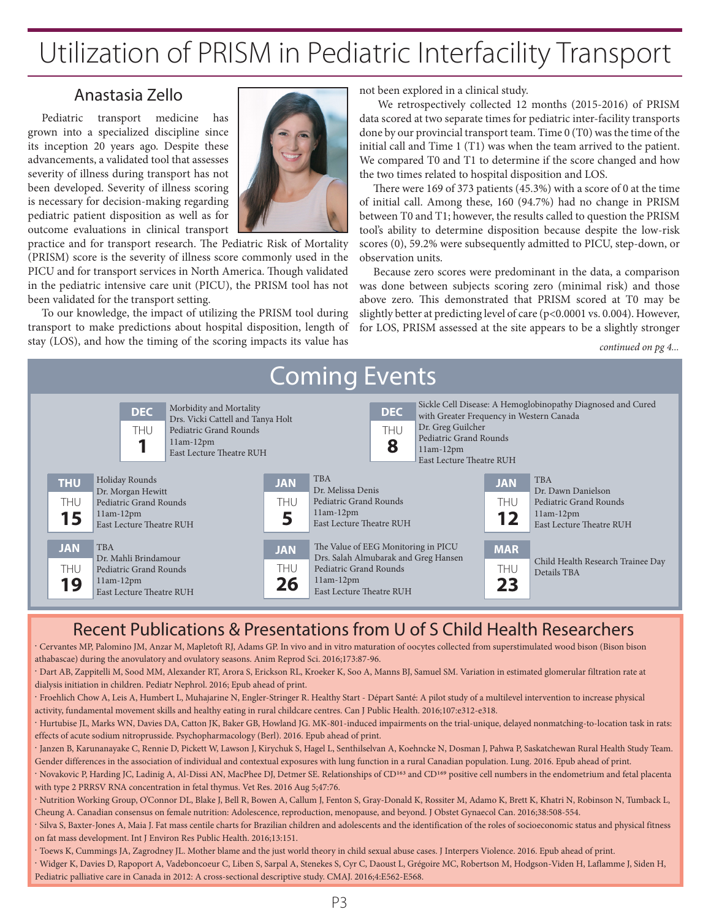## Utilization of PRISM in Pediatric Interfacility Transport

#### Anastasia Zello

Pediatric transport medicine has grown into a specialized discipline since its inception 20 years ago. Despite these advancements, a validated tool that assesses severity of illness during transport has not been developed. Severity of illness scoring is necessary for decision-making regarding pediatric patient disposition as well as for outcome evaluations in clinical transport



practice and for transport research. The Pediatric Risk of Mortality (PRISM) score is the severity of illness score commonly used in the PICU and for transport services in North America. Though validated in the pediatric intensive care unit (PICU), the PRISM tool has not been validated for the transport setting.

To our knowledge, the impact of utilizing the PRISM tool during transport to make predictions about hospital disposition, length of stay (LOS), and how the timing of the scoring impacts its value has

not been explored in a clinical study.

 We retrospectively collected 12 months (2015-2016) of PRISM data scored at two separate times for pediatric inter-facility transports done by our provincial transport team. Time 0 (T0) was the time of the initial call and Time 1 (T1) was when the team arrived to the patient. We compared T0 and T1 to determine if the score changed and how the two times related to hospital disposition and LOS.

There were 169 of 373 patients (45.3%) with a score of 0 at the time of initial call. Among these, 160 (94.7%) had no change in PRISM between T0 and T1; however, the results called to question the PRISM tool's ability to determine disposition because despite the low-risk scores (0), 59.2% were subsequently admitted to PICU, step-down, or observation units.

Because zero scores were predominant in the data, a comparison was done between subjects scoring zero (minimal risk) and those above zero. This demonstrated that PRISM scored at T0 may be slightly better at predicting level of care (p<0.0001 vs. 0.004). However, for LOS, PRISM assessed at the site appears to be a slightly stronger

*continued on pg 4...*



#### Recent Publications & Presentations from U of S Child Health Researchers

. Cervantes MP, Palomino JM, Anzar M, Mapletoft RJ, Adams GP. In vivo and in vitro maturation of oocytes collected from superstimulated wood bison (Bison bison athabascae) during the anovulatory and ovulatory seasons. Anim Reprod Sci. 2016;173:87-96.

. Dart AB, Zappitelli M, Sood MM, Alexander RT, Arora S, Erickson RL, Kroeker K, Soo A, Manns BJ, Samuel SM. Variation in estimated glomerular filtration rate at dialysis initiation in children. Pediatr Nephrol. 2016; Epub ahead of print.

. Froehlich Chow A, Leis A, Humbert L, Muhajarine N, Engler-Stringer R. Healthy Start - Départ Santé: A pilot study of a multilevel intervention to increase physical activity, fundamental movement skills and healthy eating in rural childcare centres. Can J Public Health. 2016;107:e312-e318.

. Hurtubise JL, Marks WN, Davies DA, Catton JK, Baker GB, Howland JG. MK-801-induced impairments on the trial-unique, delayed nonmatching-to-location task in rats: effects of acute sodium nitroprusside. Psychopharmacology (Berl). 2016. Epub ahead of print.

. Janzen B, Karunanayake C, Rennie D, Pickett W, Lawson J, Kirychuk S, Hagel L, Senthilselvan A, Koehncke N, Dosman J, Pahwa P, Saskatchewan Rural Health Study Team. Gender differences in the association of individual and contextual exposures with lung function in a rural Canadian population. Lung. 2016. Epub ahead of print.

. Novakovic P, Harding JC, Ladinig A, Al-Dissi AN, MacPhee DJ, Detmer SE. Relationships of CD163 and CD169 positive cell numbers in the endometrium and fetal placenta with type 2 PRRSV RNA concentration in fetal thymus. Vet Res. 2016 Aug 5;47:76.

. Nutrition Working Group, O'Connor DL, Blake J, Bell R, Bowen A, Callum J, Fenton S, Gray-Donald K, Rossiter M, Adamo K, Brett K, Khatri N, Robinson N, Tumback L, Cheung A. Canadian consensus on female nutrition: Adolescence, reproduction, menopause, and beyond. J Obstet Gynaecol Can. 2016;38:508-554.

. Silva S, Baxter-Jones A, Maia J. Fat mass centile charts for Brazilian children and adolescents and the identification of the roles of socioeconomic status and physical fitness on fat mass development. Int J Environ Res Public Health. 2016;13:151.

. Toews K, Cummings JA, Zagrodney JL. Mother blame and the just world theory in child sexual abuse cases. J Interpers Violence. 2016. Epub ahead of print.

. Widger K, Davies D, Rapoport A, Vadeboncoeur C, Liben S, Sarpal A, Stenekes S, Cyr C, Daoust L, Grégoire MC, Robertson M, Hodgson-Viden H, Laflamme J, Siden H, Pediatric palliative care in Canada in 2012: A cross-sectional descriptive study. CMAJ. 2016;4:E562-E568.